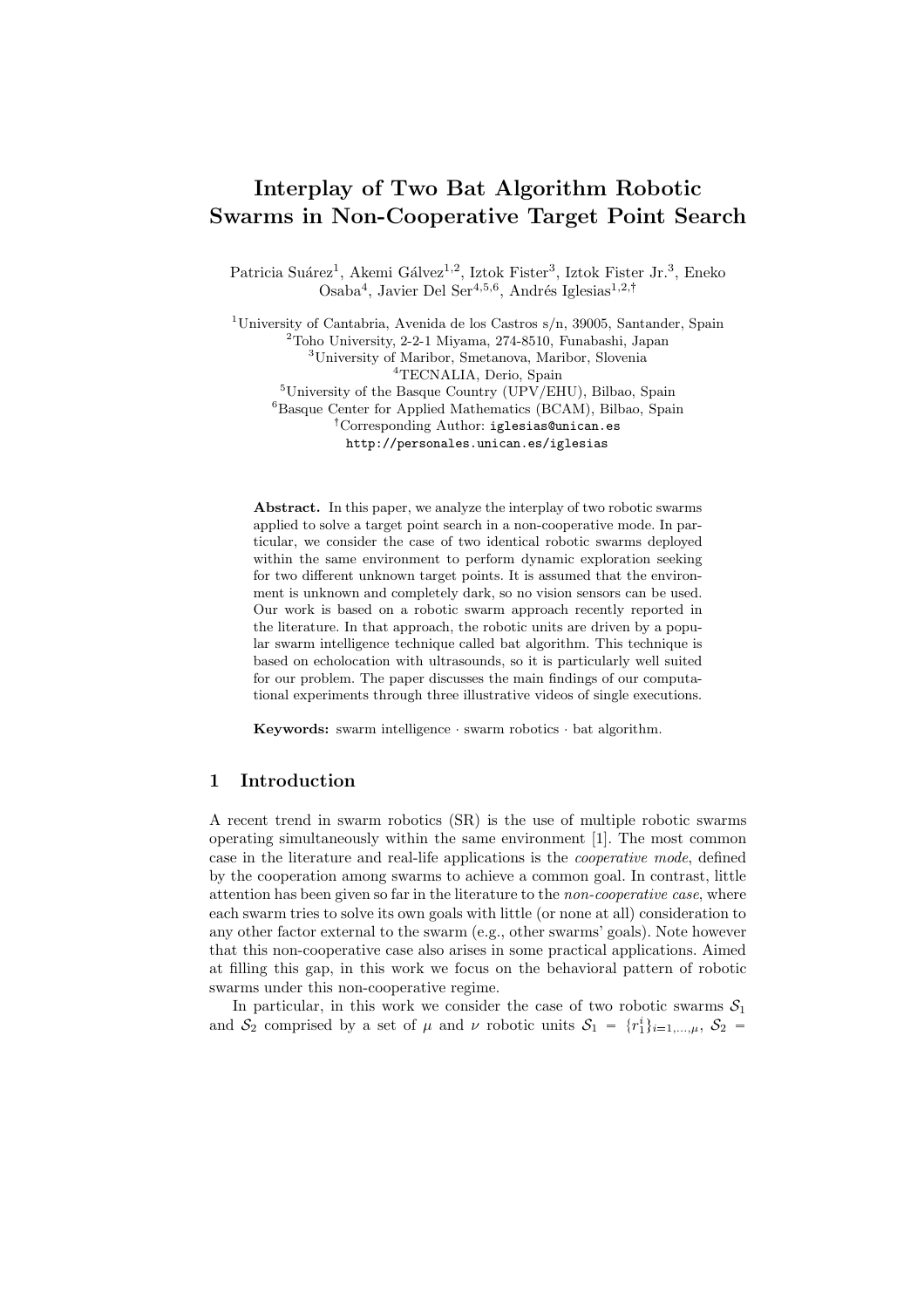# Interplay of Two Bat Algorithm Robotic Swarms in Non-Cooperative Target Point Search

Patricia Suárez<sup>1</sup>, Akemi Gálvez<sup>1,2</sup>, Iztok Fister<sup>3</sup>, Iztok Fister Jr.<sup>3</sup>, Eneko Osaba<sup>4</sup>, Javier Del Ser<sup>4,5,6</sup>, Andrés Iglesias<sup>1,2,†</sup>

<sup>1</sup>University of Cantabria, Avenida de los Castros s/n, 39005, Santander, Spain <sup>2</sup>Toho University, 2-2-1 Miyama, 274-8510, Funabashi, Japan <sup>3</sup>University of Maribor, Smetanova, Maribor, Slovenia <sup>4</sup>TECNALIA, Derio, Spain <sup>5</sup>University of the Basque Country (UPV/EHU), Bilbao, Spain <sup>6</sup>Basque Center for Applied Mathematics (BCAM), Bilbao, Spain : Corresponding Author: iglesias@unican.es http://personales.unican.es/iglesias

Abstract. In this paper, we analyze the interplay of two robotic swarms applied to solve a target point search in a non-cooperative mode. In particular, we consider the case of two identical robotic swarms deployed within the same environment to perform dynamic exploration seeking for two different unknown target points. It is assumed that the environment is unknown and completely dark, so no vision sensors can be used. Our work is based on a robotic swarm approach recently reported in the literature. In that approach, the robotic units are driven by a popular swarm intelligence technique called bat algorithm. This technique is based on echolocation with ultrasounds, so it is particularly well suited for our problem. The paper discusses the main findings of our computational experiments through three illustrative videos of single executions.

Keywords: swarm intelligence · swarm robotics · bat algorithm.

## 1 Introduction

A recent trend in swarm robotics (SR) is the use of multiple robotic swarms operating simultaneously within the same environment [1]. The most common case in the literature and real-life applications is the cooperative mode, defined by the cooperation among swarms to achieve a common goal. In contrast, little attention has been given so far in the literature to the non-cooperative case, where each swarm tries to solve its own goals with little (or none at all) consideration to any other factor external to the swarm (e.g., other swarms' goals). Note however that this non-cooperative case also arises in some practical applications. Aimed at filling this gap, in this work we focus on the behavioral pattern of robotic swarms under this non-cooperative regime.

In particular, in this work we consider the case of two robotic swarms  $S_1$ and  $S_2$  comprised by a set of  $\mu$  and  $\nu$  robotic units  $S_1 = \{r_1^i\}_{i=1,\dots,\mu}, S_2 =$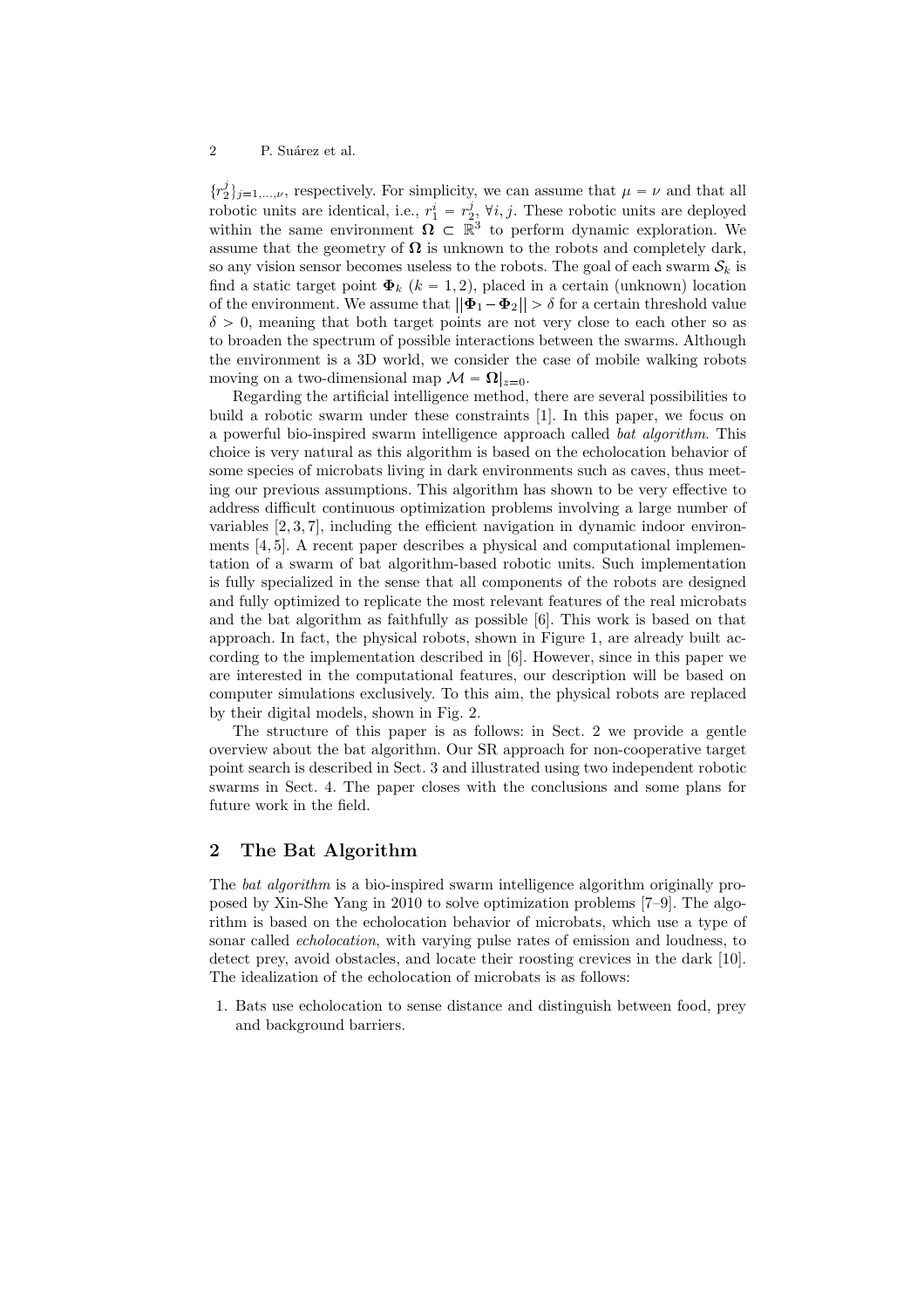#### 2 P. Suárez et al.

 $\{r_2^j\}_{j=1,\dots,\nu}$ , respectively. For simplicity, we can assume that  $\mu = \nu$  and that all robotic units are identical, i.e.,  $r_1^i = r_2^j$ ,  $\forall i, j$ . These robotic units are deployed within the same environment  $\Omega \subset \mathbb{R}^3$  to perform dynamic exploration. We assume that the geometry of  $\Omega$  is unknown to the robots and completely dark, so any vision sensor becomes useless to the robots. The goal of each swarm  $S_k$  is find a static target point  $\Phi_k$   $(k = 1, 2)$ , placed in a certain (unknown) location of the environment. We assume that  $||\mathbf{\Phi}_1 - \mathbf{\Phi}_2|| > \delta$  for a certain threshold value  $\delta > 0$ , meaning that both target points are not very close to each other so as to broaden the spectrum of possible interactions between the swarms. Although the environment is a 3D world, we consider the case of mobile walking robots moving on a two-dimensional map  $\mathcal{M} = \Omega|_{z=0}$ .

Regarding the artificial intelligence method, there are several possibilities to build a robotic swarm under these constraints [1]. In this paper, we focus on a powerful bio-inspired swarm intelligence approach called bat algorithm. This choice is very natural as this algorithm is based on the echolocation behavior of some species of microbats living in dark environments such as caves, thus meeting our previous assumptions. This algorithm has shown to be very effective to address difficult continuous optimization problems involving a large number of variables [2, 3, 7], including the efficient navigation in dynamic indoor environments [4, 5]. A recent paper describes a physical and computational implementation of a swarm of bat algorithm-based robotic units. Such implementation is fully specialized in the sense that all components of the robots are designed and fully optimized to replicate the most relevant features of the real microbats and the bat algorithm as faithfully as possible [6]. This work is based on that approach. In fact, the physical robots, shown in Figure 1, are already built according to the implementation described in [6]. However, since in this paper we are interested in the computational features, our description will be based on computer simulations exclusively. To this aim, the physical robots are replaced by their digital models, shown in Fig. 2.

The structure of this paper is as follows: in Sect. 2 we provide a gentle overview about the bat algorithm. Our SR approach for non-cooperative target point search is described in Sect. 3 and illustrated using two independent robotic swarms in Sect. 4. The paper closes with the conclusions and some plans for future work in the field.

#### 2 The Bat Algorithm

The *bat algorithm* is a bio-inspired swarm intelligence algorithm originally proposed by Xin-She Yang in 2010 to solve optimization problems [7–9]. The algorithm is based on the echolocation behavior of microbats, which use a type of sonar called *echolocation*, with varying pulse rates of emission and loudness, to detect prey, avoid obstacles, and locate their roosting crevices in the dark [10]. The idealization of the echolocation of microbats is as follows:

1. Bats use echolocation to sense distance and distinguish between food, prey and background barriers.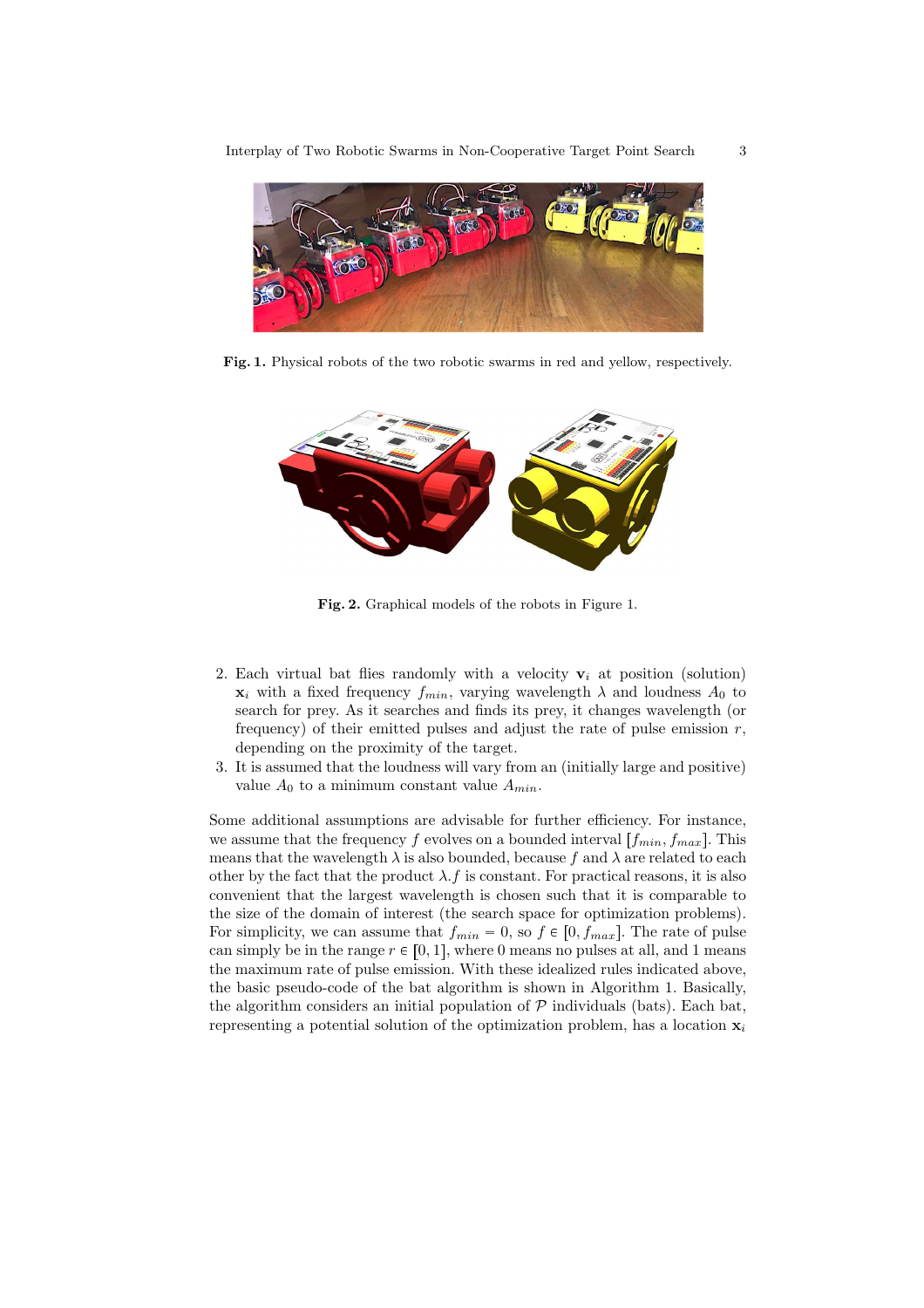

Fig. 1. Physical robots of the two robotic swarms in red and yellow, respectively.



Fig. 2. Graphical models of the robots in Figure 1.

- 2. Each virtual bat flies randomly with a velocity  $v_i$  at position (solution)  $\mathbf{x}_i$  with a fixed frequency  $f_{min}$ , varying wavelength  $\lambda$  and loudness  $A_0$  to search for prey. As it searches and finds its prey, it changes wavelength (or frequency) of their emitted pulses and adjust the rate of pulse emission  $r$ , depending on the proximity of the target.
- 3. It is assumed that the loudness will vary from an (initially large and positive) value  $A_0$  to a minimum constant value  $A_{min}$ .

Some additional assumptions are advisable for further efficiency. For instance, we assume that the frequency f evolves on a bounded interval  $[f_{min}, f_{max}]$ . This means that the wavelength  $\lambda$  is also bounded, because f and  $\lambda$  are related to each other by the fact that the product  $\lambda$ . f is constant. For practical reasons, it is also convenient that the largest wavelength is chosen such that it is comparable to the size of the domain of interest (the search space for optimization problems). For simplicity, we can assume that  $f_{min} = 0$ , so  $f \in [0, f_{max}]$ . The rate of pulse can simply be in the range  $r \in [0, 1]$ , where 0 means no pulses at all, and 1 means the maximum rate of pulse emission. With these idealized rules indicated above, the basic pseudo-code of the bat algorithm is shown in Algorithm 1. Basically, the algorithm considers an initial population of  $P$  individuals (bats). Each bat, representing a potential solution of the optimization problem, has a location  $x_i$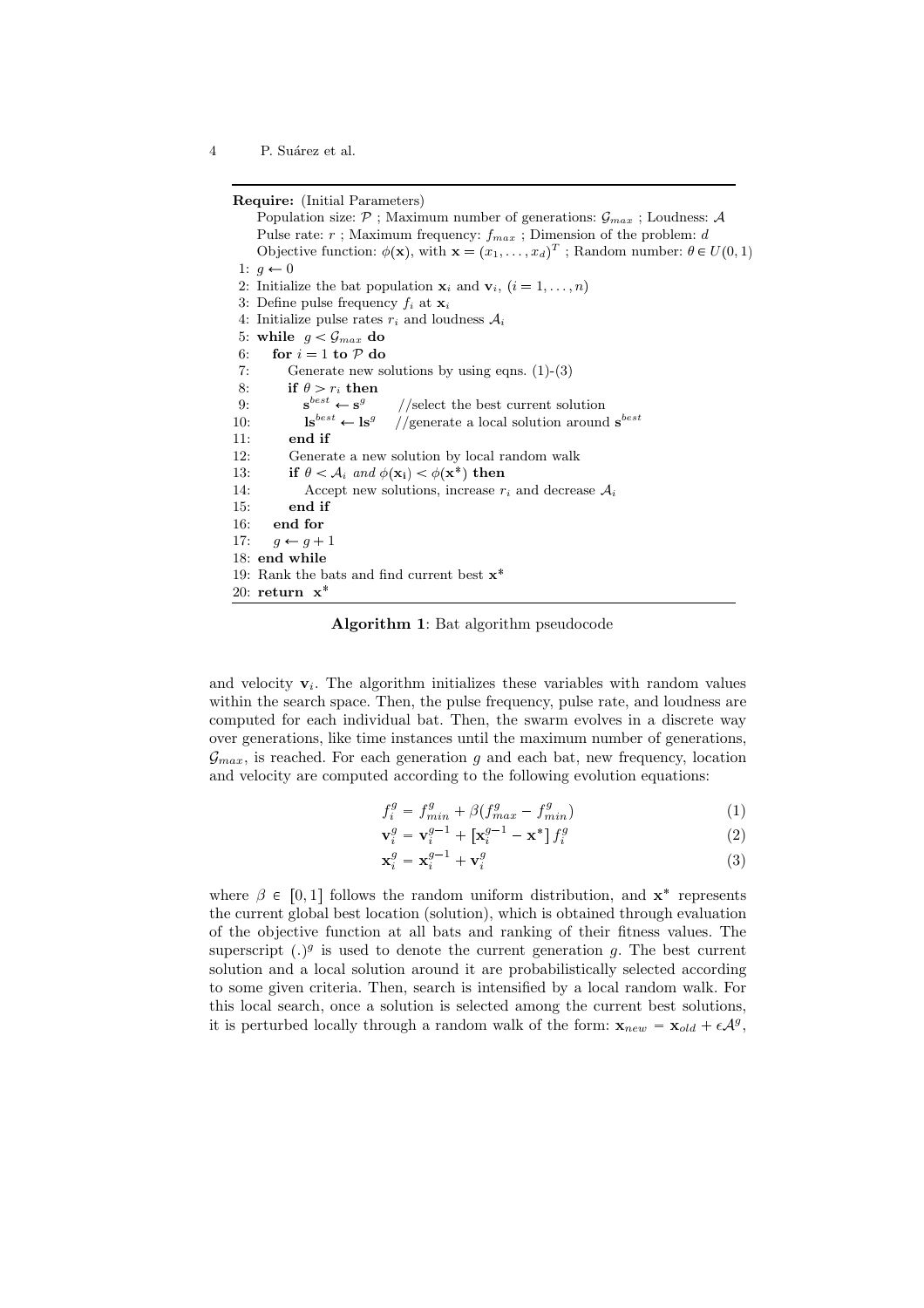4 P. Suárez et al.

Require: (Initial Parameters)

Population size:  $P$  ; Maximum number of generations:  $\mathcal{G}_{max}$  ; Loudness: A Pulse rate:  $r$ ; Maximum frequency:  $f_{max}$ ; Dimension of the problem:  $d$ Objective function:  $\phi(\mathbf{x})$ , with  $\mathbf{x} = (x_1, \dots, x_d)^T$ ; Random number:  $\theta \in U(0, 1)$ 1:  $q \leftarrow 0$ 2: Initialize the bat population  $\mathbf{x}_i$  and  $\mathbf{v}_i$ ,  $(i = 1, \ldots, n)$ 3: Define pulse frequency  $f_i$  at  $\mathbf{x}_i$ 4: Initialize pulse rates  $r_i$  and loudness  $A_i$ 5: while  $g < \mathcal{G}_{max}$  do 6: for  $i = 1$  to  $P$  do 7: Generate new solutions by using eqns.  $(1)-(3)$ 8: if  $\theta > r_i$  then  $9:$  $e^{best} \leftarrow s^g$ //select the best current solution 10:  $\qquad \qquad \mathbf{ls}^{best} \leftarrow \mathbf{ls}^g$ //generate a local solution around  $\mathbf{s}^{best}$ 11: end if 12: Generate a new solution by local random walk 13: if  $\theta < A_i$  and  $\phi(\mathbf{x_i}) < \phi(\mathbf{x^*})$  then 14: Accept new solutions, increase  $r_i$  and decrease  $A_i$ 15: end if 16: end for 17:  $g \leftarrow g + 1$ 18: end while 19: Rank the bats and find current best  $x^*$ 20: return  $x^*$ 

Algorithm 1: Bat algorithm pseudocode

and velocity  $v_i$ . The algorithm initializes these variables with random values within the search space. Then, the pulse frequency, pulse rate, and loudness are computed for each individual bat. Then, the swarm evolves in a discrete way over generations, like time instances until the maximum number of generations,  $\mathcal{G}_{max}$ , is reached. For each generation q and each bat, new frequency, location and velocity are computed according to the following evolution equations:

$$
f_i^g = f_{min}^g + \beta (f_{max}^g - f_{min}^g) \tag{1}
$$

$$
\mathbf{v}_i^g = \mathbf{v}_i^{g-1} + \left[\mathbf{x}_i^{g-1} - \mathbf{x}^*\right] f_i^g \tag{2}
$$

$$
\mathbf{x}_i^g = \mathbf{x}_i^{g-1} + \mathbf{v}_i^g \tag{3}
$$

where  $\beta \in [0, 1]$  follows the random uniform distribution, and  $\mathbf{x}^*$  represents the current global best location (solution), which is obtained through evaluation of the objective function at all bats and ranking of their fitness values. The superscript  $(.)^g$  is used to denote the current generation g. The best current solution and a local solution around it are probabilistically selected according to some given criteria. Then, search is intensified by a local random walk. For this local search, once a solution is selected among the current best solutions, it is perturbed locally through a random walk of the form:  $\mathbf{x}_{new} = \mathbf{x}_{old} + \epsilon \mathcal{A}^g$ ,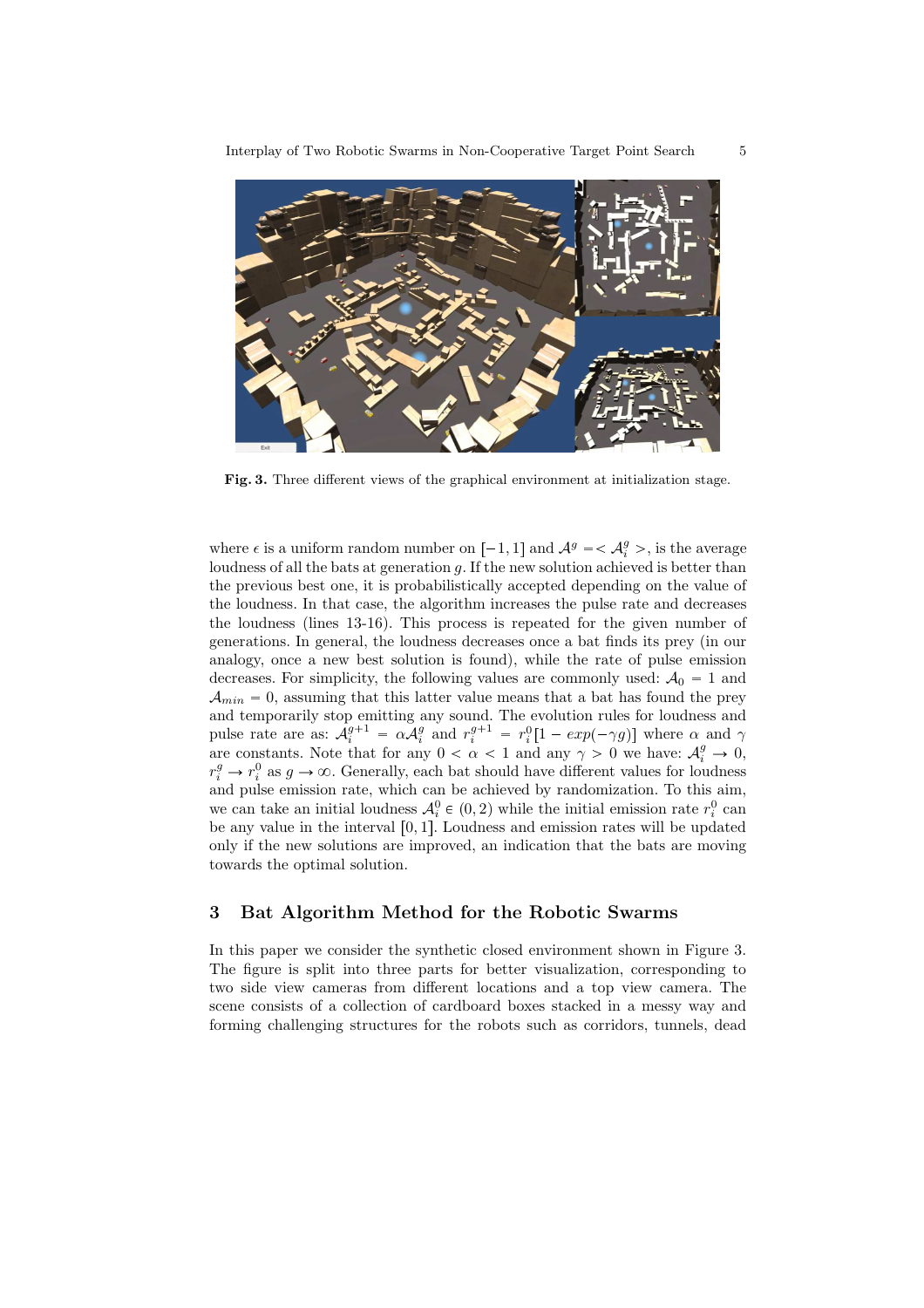

Fig. 3. Three different views of the graphical environment at initialization stage.

where  $\epsilon$  is a uniform random number on  $[-1, 1]$  and  $\mathcal{A}^g = \langle \mathcal{A}^g_i \rangle$ , is the average loudness of all the bats at generation  $q$ . If the new solution achieved is better than the previous best one, it is probabilistically accepted depending on the value of the loudness. In that case, the algorithm increases the pulse rate and decreases the loudness (lines 13-16). This process is repeated for the given number of generations. In general, the loudness decreases once a bat finds its prey (in our analogy, once a new best solution is found), while the rate of pulse emission decreases. For simplicity, the following values are commonly used:  $A_0 = 1$  and  $A_{min} = 0$ , assuming that this latter value means that a bat has found the prey and temporarily stop emitting any sound. The evolution rules for loudness and pulse rate are as:  $A_i^{g+1} = \alpha A_i^g$  and  $r_i^{g+1} = r_i^0[1 - exp(-\gamma g)]$  where  $\alpha$  and  $\gamma$ are constants. Note that for any  $0 < \alpha < 1$  and any  $\gamma > 0$  we have:  $\mathcal{A}_i^g \to 0$ ,  $r_i^g \rightarrow r_i^0$  as  $g \rightarrow \infty$ . Generally, each bat should have different values for loudness and pulse emission rate, which can be achieved by randomization. To this aim, we can take an initial loudness  $\mathcal{A}_{i}^{0} \in (0, 2)$  while the initial emission rate  $r_{i}^{0}$  can be any value in the interval  $[0, 1]$ . Loudness and emission rates will be updated only if the new solutions are improved, an indication that the bats are moving towards the optimal solution.

#### 3 Bat Algorithm Method for the Robotic Swarms

In this paper we consider the synthetic closed environment shown in Figure 3. The figure is split into three parts for better visualization, corresponding to two side view cameras from different locations and a top view camera. The scene consists of a collection of cardboard boxes stacked in a messy way and forming challenging structures for the robots such as corridors, tunnels, dead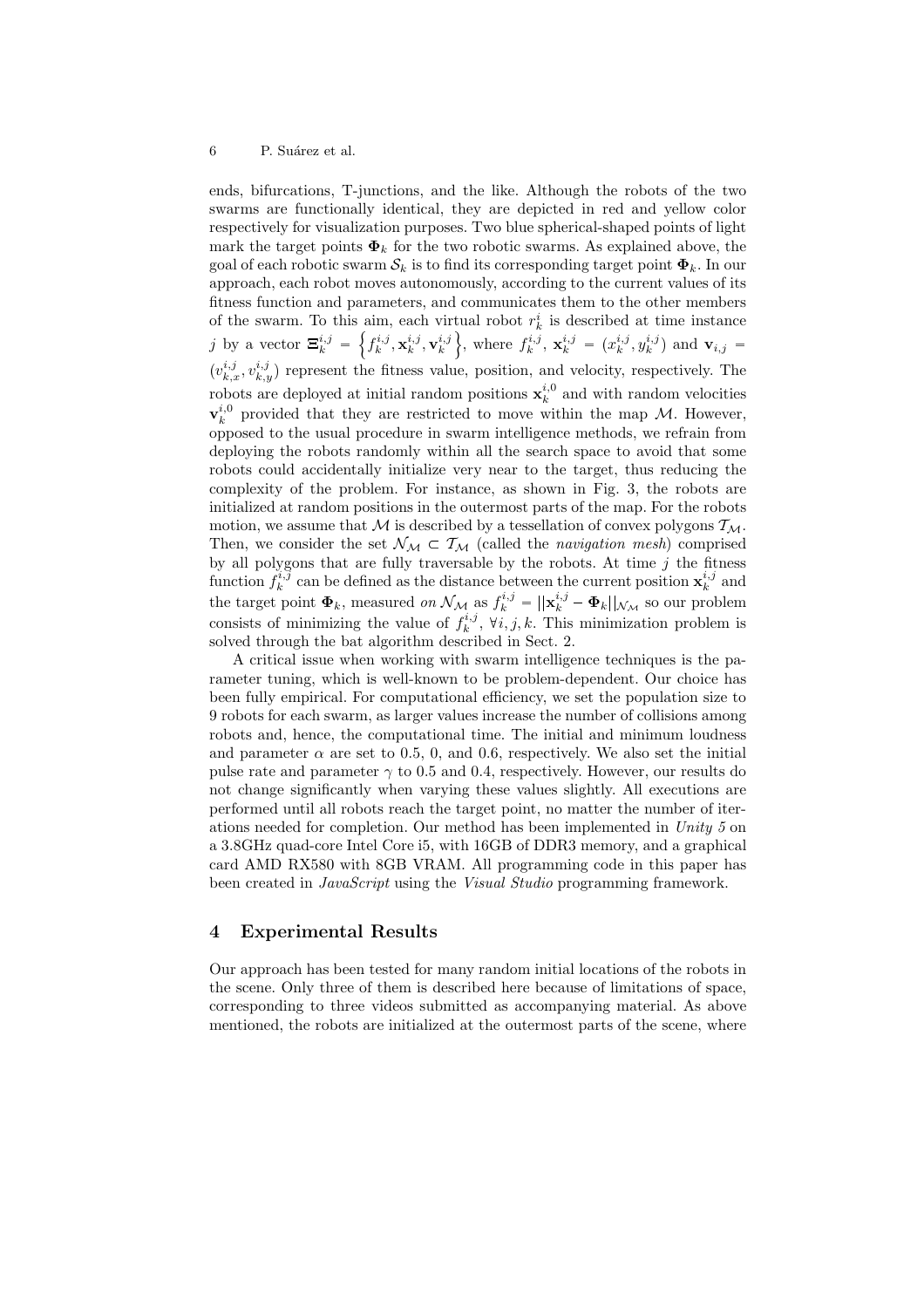ends, bifurcations, T-junctions, and the like. Although the robots of the two swarms are functionally identical, they are depicted in red and yellow color respectively for visualization purposes. Two blue spherical-shaped points of light mark the target points  $\Phi_k$  for the two robotic swarms. As explained above, the goal of each robotic swarm  $\mathcal{S}_k$  is to find its corresponding target point  $\mathbf{\Phi}_k$ . In our approach, each robot moves autonomously, according to the current values of its fitness function and parameters, and communicates them to the other members of the swarm. To this aim, each virtual robot  $r_k^i$  is described at time instance j by a vector  $\Xi_k^{i,j} =$  $\left\{f_k^{i,j}, \mathbf{x}_k^{i,j}, \mathbf{v}_k^{i,j}\right\}$ }, where  $f_k^{i,j}$ ,  $\mathbf{x}_k^{i,j} = (x_k^{i,j}, y_k^{i,j})$  and  $\mathbf{v}_{i,j} =$  $(v_{k,x}^{i,j}, v_{k,y}^{i,j})$  represent the fitness value, position, and velocity, respectively. The robots are deployed at initial random positions  $\mathbf{x}_{k}^{i,0}$  and with random velocities  $\mathbf{v}_k^{i,0}$  provided that they are restricted to move within the map M. However, opposed to the usual procedure in swarm intelligence methods, we refrain from deploying the robots randomly within all the search space to avoid that some robots could accidentally initialize very near to the target, thus reducing the complexity of the problem. For instance, as shown in Fig. 3, the robots are initialized at random positions in the outermost parts of the map. For the robots motion, we assume that M is described by a tessellation of convex polygons  $T_M$ . Then, we consider the set  $\mathcal{N}_{\mathcal{M}} \subset \mathcal{T}_{\mathcal{M}}$  (called the *navigation mesh*) comprised by all polygons that are fully traversable by the robots. At time  $j$  the fitness function  $f_k^{i,j}$  can be defined as the distance between the current position  $\mathbf{x}_k^{i,j}$  and the target point  $\Phi_k$ , measured *on*  $\mathcal{N}_{\mathcal{M}}$  as  $f_k^{i,j} = ||\mathbf{x}_k^{i,j} - \Phi_k||_{\mathcal{N}_{\mathcal{M}}}$  so our problem consists of minimizing the value of  $f_k^{i,j}$ ,  $\forall i, j, k$ . This minimization problem is solved through the bat algorithm described in Sect. 2.

A critical issue when working with swarm intelligence techniques is the parameter tuning, which is well-known to be problem-dependent. Our choice has been fully empirical. For computational efficiency, we set the population size to 9 robots for each swarm, as larger values increase the number of collisions among robots and, hence, the computational time. The initial and minimum loudness and parameter  $\alpha$  are set to 0.5, 0, and 0.6, respectively. We also set the initial pulse rate and parameter  $\gamma$  to 0.5 and 0.4, respectively. However, our results do not change significantly when varying these values slightly. All executions are performed until all robots reach the target point, no matter the number of iterations needed for completion. Our method has been implemented in Unity 5 on a 3.8GHz quad-core Intel Core i5, with 16GB of DDR3 memory, and a graphical card AMD RX580 with 8GB VRAM. All programming code in this paper has been created in *JavaScript* using the *Visual Studio* programming framework.

### 4 Experimental Results

Our approach has been tested for many random initial locations of the robots in the scene. Only three of them is described here because of limitations of space, corresponding to three videos submitted as accompanying material. As above mentioned, the robots are initialized at the outermost parts of the scene, where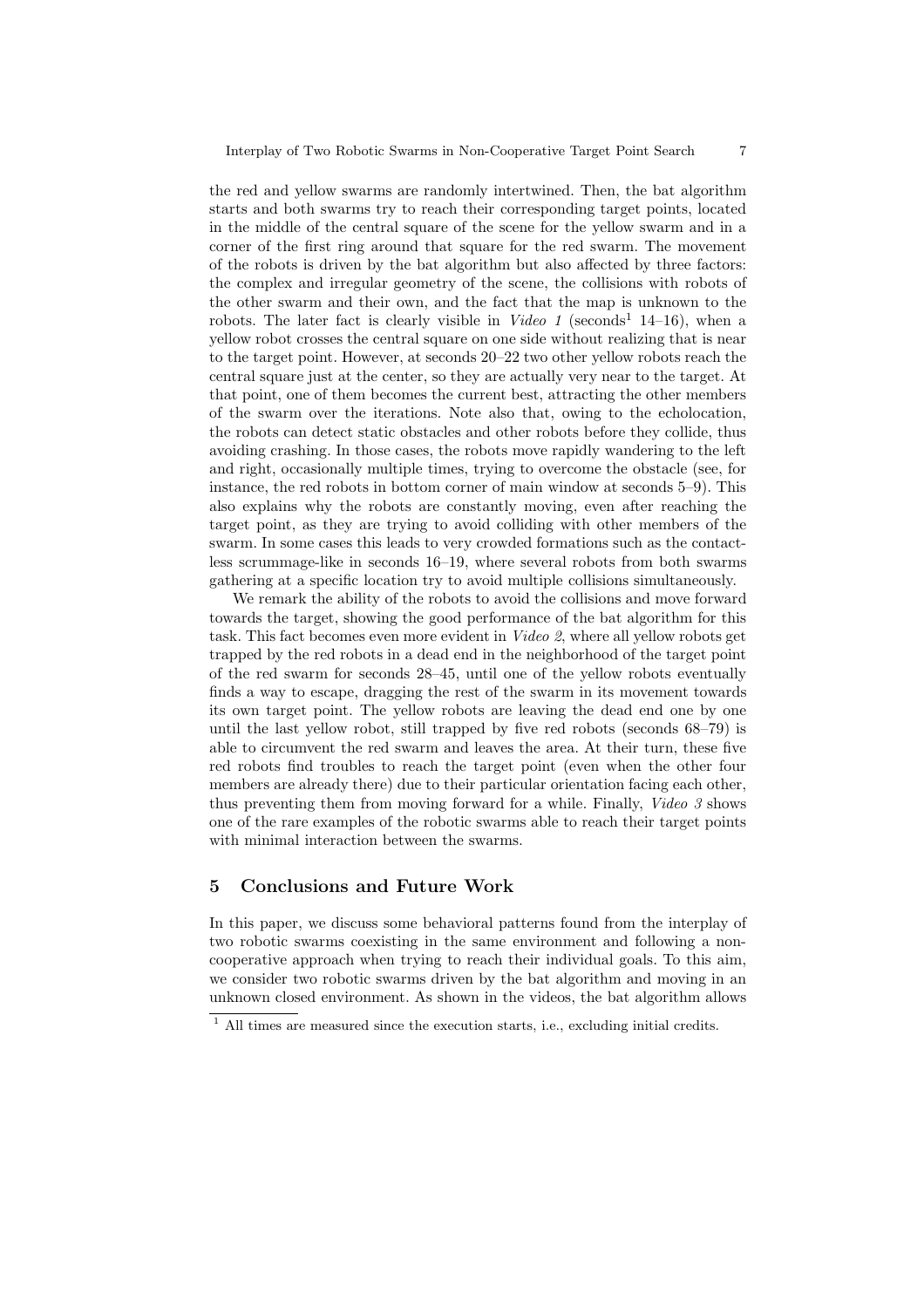the red and yellow swarms are randomly intertwined. Then, the bat algorithm starts and both swarms try to reach their corresponding target points, located in the middle of the central square of the scene for the yellow swarm and in a corner of the first ring around that square for the red swarm. The movement of the robots is driven by the bat algorithm but also affected by three factors: the complex and irregular geometry of the scene, the collisions with robots of the other swarm and their own, and the fact that the map is unknown to the robots. The later fact is clearly visible in  $Video\ 1$  (seconds<sup>1</sup> 14–16), when a yellow robot crosses the central square on one side without realizing that is near to the target point. However, at seconds 20–22 two other yellow robots reach the central square just at the center, so they are actually very near to the target. At that point, one of them becomes the current best, attracting the other members of the swarm over the iterations. Note also that, owing to the echolocation, the robots can detect static obstacles and other robots before they collide, thus avoiding crashing. In those cases, the robots move rapidly wandering to the left and right, occasionally multiple times, trying to overcome the obstacle (see, for instance, the red robots in bottom corner of main window at seconds 5–9). This also explains why the robots are constantly moving, even after reaching the target point, as they are trying to avoid colliding with other members of the swarm. In some cases this leads to very crowded formations such as the contactless scrummage-like in seconds 16–19, where several robots from both swarms gathering at a specific location try to avoid multiple collisions simultaneously.

We remark the ability of the robots to avoid the collisions and move forward towards the target, showing the good performance of the bat algorithm for this task. This fact becomes even more evident in Video 2, where all yellow robots get trapped by the red robots in a dead end in the neighborhood of the target point of the red swarm for seconds 28–45, until one of the yellow robots eventually finds a way to escape, dragging the rest of the swarm in its movement towards its own target point. The yellow robots are leaving the dead end one by one until the last yellow robot, still trapped by five red robots (seconds 68–79) is able to circumvent the red swarm and leaves the area. At their turn, these five red robots find troubles to reach the target point (even when the other four members are already there) due to their particular orientation facing each other, thus preventing them from moving forward for a while. Finally, Video 3 shows one of the rare examples of the robotic swarms able to reach their target points with minimal interaction between the swarms.

#### 5 Conclusions and Future Work

In this paper, we discuss some behavioral patterns found from the interplay of two robotic swarms coexisting in the same environment and following a noncooperative approach when trying to reach their individual goals. To this aim, we consider two robotic swarms driven by the bat algorithm and moving in an unknown closed environment. As shown in the videos, the bat algorithm allows

<sup>&</sup>lt;sup>1</sup> All times are measured since the execution starts, i.e., excluding initial credits.